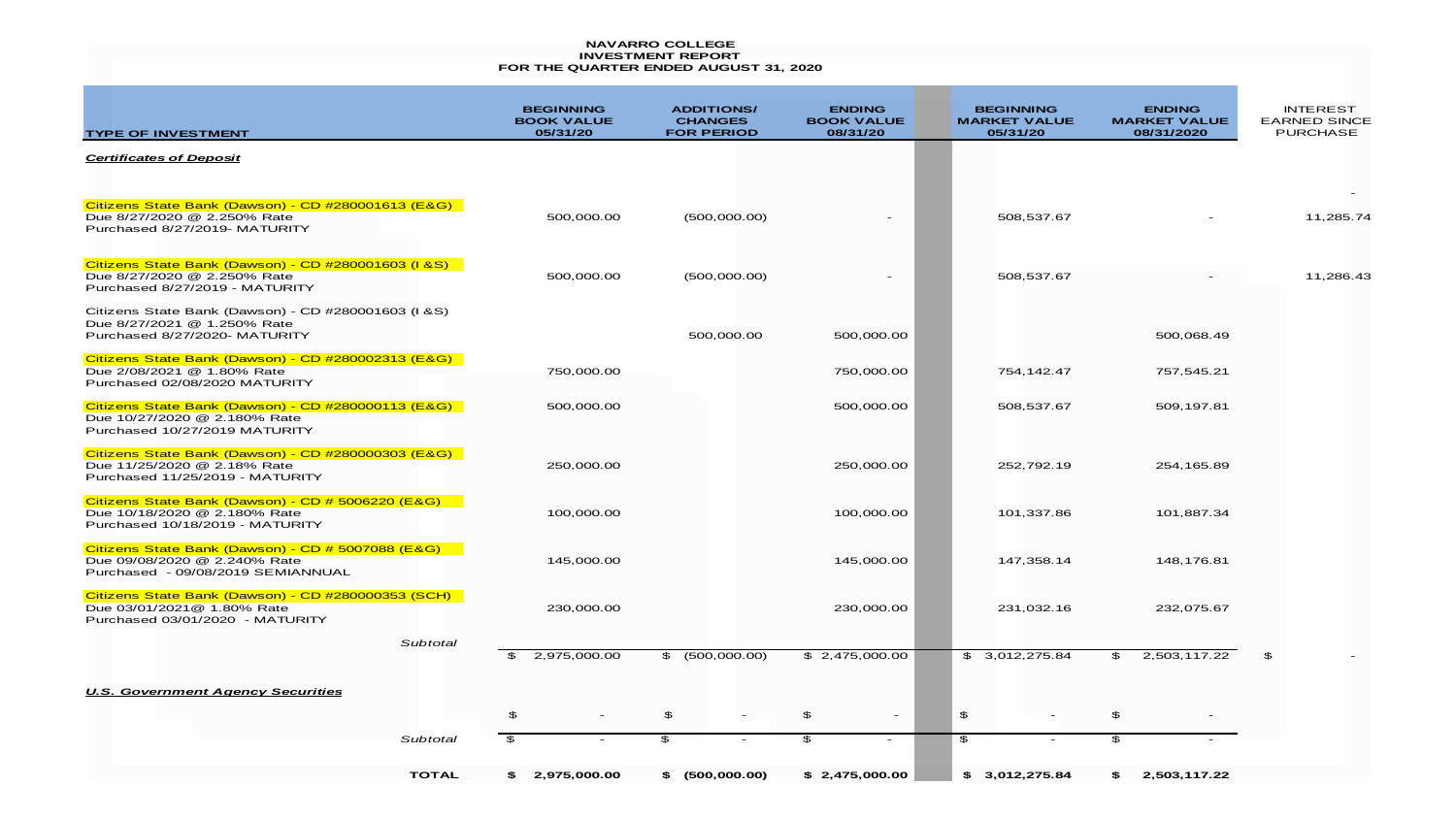|                                                                                                                        |                                                   | <b>NAVARRO COLLEGE</b><br><b>INVESTMENT REPORT</b><br>FOR THE QUARTER ENDED AUGUST 31, 2020 |                                                |                                                     |                                                    |                                                           |
|------------------------------------------------------------------------------------------------------------------------|---------------------------------------------------|---------------------------------------------------------------------------------------------|------------------------------------------------|-----------------------------------------------------|----------------------------------------------------|-----------------------------------------------------------|
| <b>TYPE OF INVESTMENT</b>                                                                                              | <b>BEGINNING</b><br><b>BOOK VALUE</b><br>05/31/20 | <b>ADDITIONS/</b><br><b>CHANGES</b><br><b>FOR PERIOD</b>                                    | <b>ENDING</b><br><b>BOOK VALUE</b><br>08/31/20 | <b>BEGINNING</b><br><b>MARKET VALUE</b><br>05/31/20 | <b>ENDING</b><br><b>MARKET VALUE</b><br>08/31/2020 | <b>INTEREST</b><br><b>EARNED SINCE</b><br><b>PURCHASE</b> |
| <b>Certificates of Deposit</b>                                                                                         |                                                   |                                                                                             |                                                |                                                     |                                                    |                                                           |
| Citizens State Bank (Dawson) - CD #280001613 (E&G)<br>Due 8/27/2020 @ 2.250% Rate<br>Purchased 8/27/2019- MATURITY     | 500,000.00                                        | (500,000.00)                                                                                |                                                | 508,537.67                                          |                                                    | 11,285.74                                                 |
| Citizens State Bank (Dawson) - CD #280001603 (I &S)<br>Due 8/27/2020 @ 2.250% Rate<br>Purchased 8/27/2019 - MATURITY   | 500,000.00                                        | (500,000.00)                                                                                |                                                | 508,537.67                                          |                                                    | 11,286.43                                                 |
| Citizens State Bank (Dawson) - CD #280001603 (I & S)<br>Due 8/27/2021 @ 1.250% Rate<br>Purchased 8/27/2020- MATURITY   |                                                   | 500,000.00                                                                                  | 500,000.00                                     |                                                     | 500,068.49                                         |                                                           |
| Citizens State Bank (Dawson) - CD #280002313 (E&G)<br>Due 2/08/2021 @ 1.80% Rate<br>Purchased 02/08/2020 MATURITY      | 750,000.00                                        |                                                                                             | 750,000.00                                     | 754, 142. 47                                        | 757,545.21                                         |                                                           |
| Citizens State Bank (Dawson) - CD #280000113 (E&G)<br>Due 10/27/2020 @ 2.180% Rate<br>Purchased 10/27/2019 MATURITY    | 500,000.00                                        |                                                                                             | 500,000.00                                     | 508,537.67                                          | 509,197.81                                         |                                                           |
| Citizens State Bank (Dawson) - CD #280000303 (E&G)<br>Due 11/25/2020 @ 2.18% Rate<br>Purchased 11/25/2019 - MATURITY   | 250,000.00                                        |                                                                                             | 250,000.00                                     | 252,792.19                                          | 254,165.89                                         |                                                           |
| Citizens State Bank (Dawson) - CD # 5006220 (E&G)<br>Due 10/18/2020 @ 2.180% Rate<br>Purchased 10/18/2019 - MATURITY   | 100,000.00                                        |                                                                                             | 100,000.00                                     | 101,337.86                                          | 101,887.34                                         |                                                           |
| Citizens State Bank (Dawson) - CD # 5007088 (E&G)<br>Due 09/08/2020 @ 2.240% Rate<br>Purchased - 09/08/2019 SEMIANNUAL | 145,000.00                                        |                                                                                             | 145,000.00                                     | 147,358.14                                          | 148,176.81                                         |                                                           |
| Citizens State Bank (Dawson) - CD #280000353 (SCH)<br>Due 03/01/2021@ 1.80% Rate<br>Purchased 03/01/2020 - MATURITY    | 230,000.00                                        |                                                                                             | 230,000.00                                     | 231,032.16                                          | 232,075.67                                         |                                                           |
| Subtotal                                                                                                               | \$<br>2,975,000.00                                | \$ (500,000.00)                                                                             | \$2,475,000.00                                 | \$3,012,275.84                                      | 2,503,117.22<br>\$                                 | \$                                                        |
| <b>U.S. Government Agency Securities</b>                                                                               |                                                   |                                                                                             |                                                |                                                     |                                                    |                                                           |
|                                                                                                                        | \$                                                | \$<br>$\overline{\phantom{a}}$                                                              | \$                                             | \$                                                  | $\mathfrak{P}$                                     |                                                           |
| Subtotal                                                                                                               | $\mathfrak{P}$                                    | $\mathfrak{P}$<br>$\overline{\phantom{a}}$                                                  | $\mathfrak{P}$<br>$-$                          | $\mathfrak{P}$                                      | \$                                                 |                                                           |
| <b>TOTAL</b>                                                                                                           | \$2,975,000.00                                    | \$ (500,000.00)                                                                             | \$2,475,000.00                                 | \$3,012,275.84                                      | 2,503,117.22<br>S.                                 |                                                           |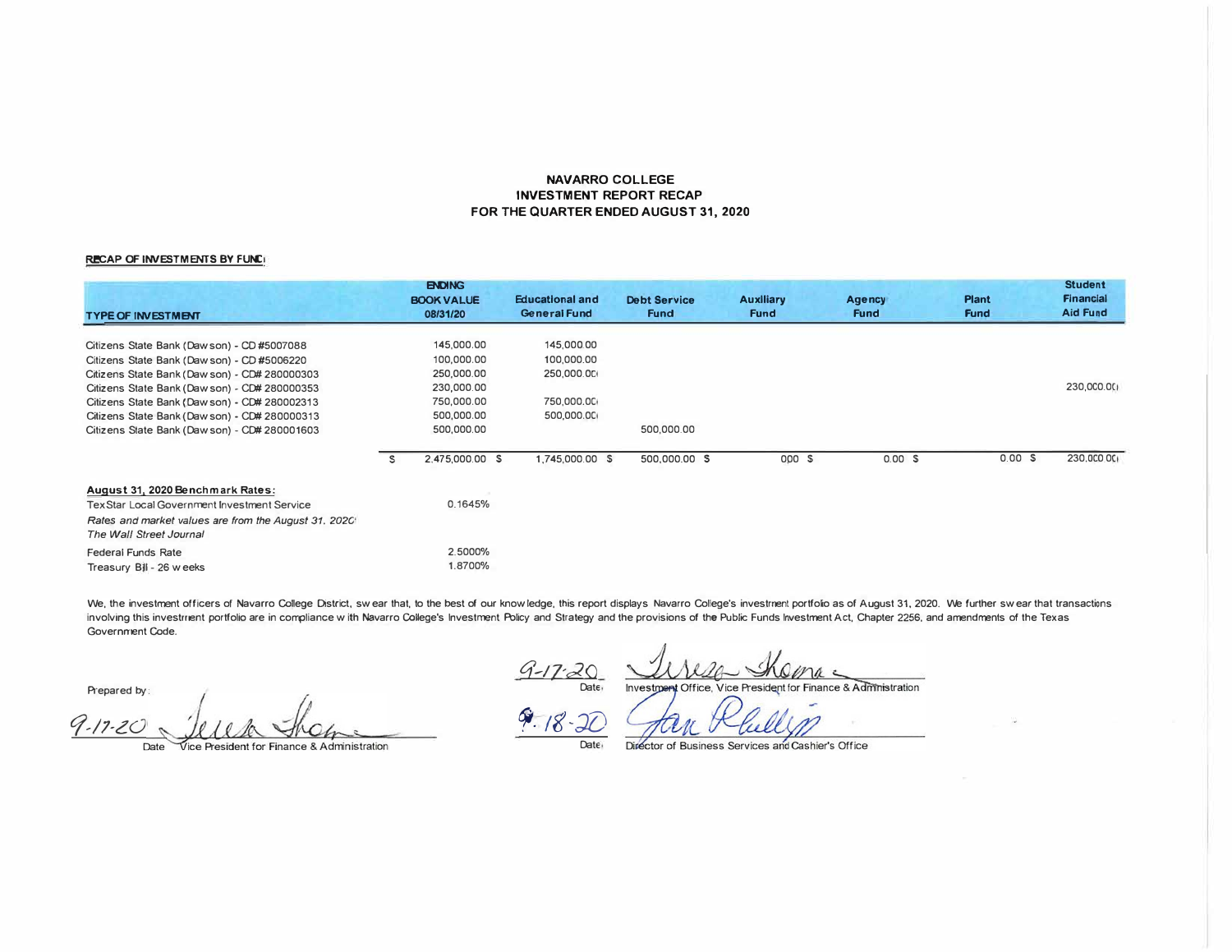## **NAVARRO COLLEGE INVESTMENT REPORT RECAP FOR THE QUARTER ENDED AUGUST 31, 2020**

## **RECAP OF INVESTMENTS BY FUNC!**

| <b>TYPE OF INVESTMENT</b>                                                                                                                                                                                                                                                                                                                 |   | <b>ENDING</b><br><b>BOOK VALUE</b><br>08/31/20                                                 | <b>Educational and</b><br>General Fund                             | <b>Debt Service</b><br><b>Fund</b> | <b>Auxiliary</b><br><b>Fund</b> | <b>Agency</b><br><b>Fund</b> | <b>Plant</b><br><b>Fund</b> | <b>Student</b><br>Financial<br><b>Aid Fund</b> |
|-------------------------------------------------------------------------------------------------------------------------------------------------------------------------------------------------------------------------------------------------------------------------------------------------------------------------------------------|---|------------------------------------------------------------------------------------------------|--------------------------------------------------------------------|------------------------------------|---------------------------------|------------------------------|-----------------------------|------------------------------------------------|
| Citizens State Bank (Dawson) - CD #5007088<br>Citizens State Bank (Dawson) - CD #5006220<br>Citizens State Bank (Daw son) - CD# 280000303<br>Citizens State Bank (Dawson) - CD# 280000353<br>Citizens State Bank (Dawson) - CD# 280002313<br>Citizens State Bank (Dawson) - CD# 280000313<br>Citizens State Bank (Dawson) - CD# 280001603 |   | 145,000.00<br>100,000.00<br>250,000.00<br>230,000.00<br>750,000.00<br>500,000.00<br>500,000.00 | 145,000.00<br>100,000.00<br>250,000.00<br>750,000.00<br>500,000.00 | 500,000.00                         |                                 |                              |                             | 230,000.00                                     |
|                                                                                                                                                                                                                                                                                                                                           | S | 2,475,000.00 \$                                                                                | 1,745,000.00 \$                                                    | 500,000.00 \$                      | 000 S                           | 0.00 S                       | 0.00 S                      | 230,000.00                                     |
| August 31, 2020 Benchmark Rates:<br><b>Tex Star Local Government Investment Service</b><br>Rates and market values are from the August 31, 2020<br>The Wall Street Journal                                                                                                                                                                |   | 0.1645%                                                                                        |                                                                    |                                    |                                 |                              |                             |                                                |
| Federal Funds Rate<br>Treasury Bill - 26 weeks                                                                                                                                                                                                                                                                                            |   | 2.5000%<br>1.8700%                                                                             |                                                                    |                                    |                                 |                              |                             |                                                |

We, the investment officers of Navarro College District, swear that, to the best of our knowledge, this report displays Navarro College's investment portfolio as of August 31, 2020. We further swear that transactions involving this investrrent portfolio are in compliance with Navarro College's Investment Policy and Strategy and the provisions of the Public Funds Investment Act, Chapter 2256, and amendments of the Texas **Government Code.** 

Prepared by:

 $9.17.20$  *Jelen shame 9.18.20* 

Date

 $\frac{7}{\text{Date}}$ Investment Office, Vice President for Finance & Administration

**Date** 

Director of Business Services and Cashier's Office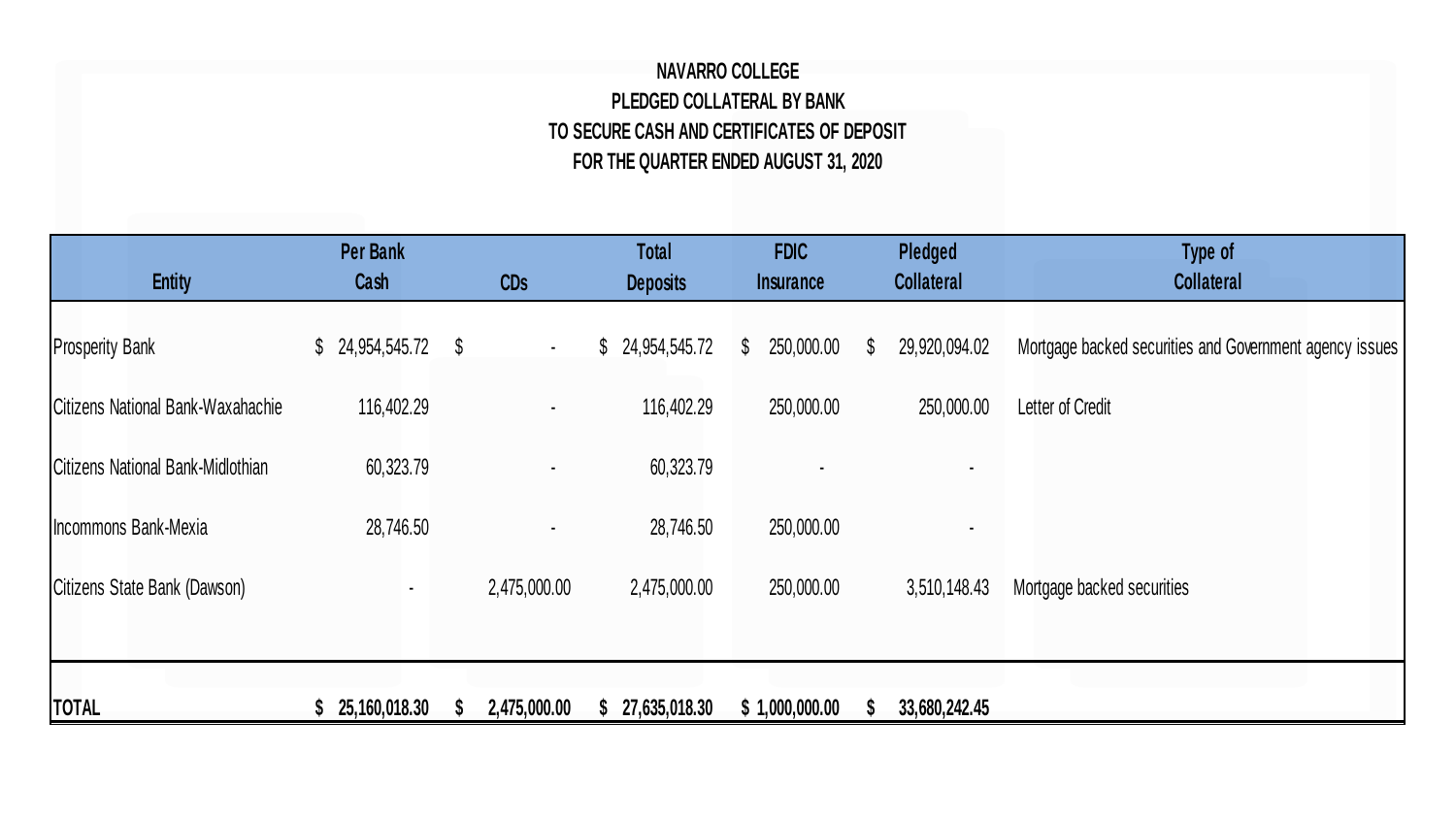## **NAVARRO COLLEGE PLEDGED COLLATERAL BY BANK TO SECURE CASH AND CERTIFICATES OF DEPOSIT FOR THE QUARTER ENDED AUGUST 31, 2020**

| <b>Entity</b>                     | Per Bank<br>Cash | CDs                     | <b>Total</b><br><b>Deposits</b> | <b>FDIC</b><br><b>Insurance</b> | Pledged<br><b>Collateral</b>  | Type of<br><b>Collateral</b>                            |
|-----------------------------------|------------------|-------------------------|---------------------------------|---------------------------------|-------------------------------|---------------------------------------------------------|
| <b>Prosperity Bank</b>            | \$24,954,545.72  | $\mathcal{S}$<br>$\sim$ | 24,954,545.72<br>\$             | 250,000.00<br>$\mathbb{S}$      | 29,920,094.02<br>$\mathbb{S}$ | Mortgage backed securities and Government agency issues |
| Citizens National Bank-Waxahachie | 116,402.29       |                         | 116,402.29                      | 250,000.00                      | 250,000.00                    | Letter of Credit                                        |
| Citizens National Bank-Midlothian | 60,323.79        |                         | 60,323.79                       |                                 |                               |                                                         |
| Incommons Bank-Mexia              | 28,746.50        |                         | 28,746.50                       | 250,000.00                      |                               |                                                         |
| Citizens State Bank (Dawson)      |                  | 2,475,000.00            | 2,475,000.00                    | 250,000.00                      | 3,510,148.43                  | Mortgage backed securities                              |
|                                   |                  |                         |                                 |                                 |                               |                                                         |
| <b>TOTAL</b>                      | 25,160,018.30    | 2,475,000.00            | 27,635,018.30                   | \$1,000,000.00                  | 33,680,242.45                 |                                                         |